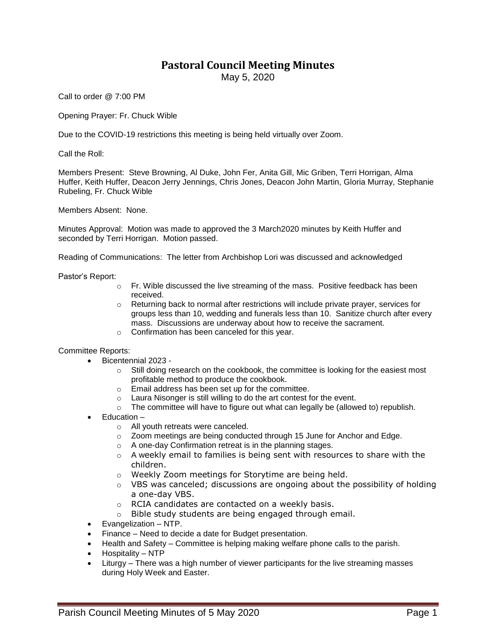## **Pastoral Council Meeting Minutes**

May 5, 2020

Call to order @ 7:00 PM

Opening Prayer: Fr. Chuck Wible

Due to the COVID-19 restrictions this meeting is being held virtually over Zoom.

Call the Roll:

Members Present: Steve Browning, Al Duke, John Fer, Anita Gill, Mic Griben, Terri Horrigan, Alma Huffer, Keith Huffer, Deacon Jerry Jennings, Chris Jones, Deacon John Martin, Gloria Murray, Stephanie Rubeling, Fr. Chuck Wible

Members Absent: None.

Minutes Approval: Motion was made to approved the 3 March2020 minutes by Keith Huffer and seconded by Terri Horrigan. Motion passed.

Reading of Communications: The letter from Archbishop Lori was discussed and acknowledged

Pastor's Report:

- $\circ$  Fr. Wible discussed the live streaming of the mass. Positive feedback has been received.
- $\circ$  Returning back to normal after restrictions will include private prayer, services for groups less than 10, wedding and funerals less than 10. Sanitize church after every mass. Discussions are underway about how to receive the sacrament.
- o Confirmation has been canceled for this year.

## Committee Reports:

- Bicentennial 2023
	- $\circ$  Still doing research on the cookbook, the committee is looking for the easiest most profitable method to produce the cookbook.
	- o Email address has been set up for the committee.
	- o Laura Nisonger is still willing to do the art contest for the event.
	- $\circ$  The committee will have to figure out what can legally be (allowed to) republish.
- Education
	- o All youth retreats were canceled.
	- $\circ$  Zoom meetings are being conducted through 15 June for Anchor and Edge.
	- o A one-day Confirmation retreat is in the planning stages.
	- $\circ$  A weekly email to families is being sent with resources to share with the children.
	- o Weekly Zoom meetings for Storytime are being held.
	- $\circ$  VBS was canceled; discussions are ongoing about the possibility of holding a one-day VBS.
	- o RCIA candidates are contacted on a weekly basis.
	- o Bible study students are being engaged through email.
- Evangelization NTP.
- Finance Need to decide a date for Budget presentation.
- Health and Safety Committee is helping making welfare phone calls to the parish.
- Hospitality NTP
- Liturgy There was a high number of viewer participants for the live streaming masses during Holy Week and Easter.